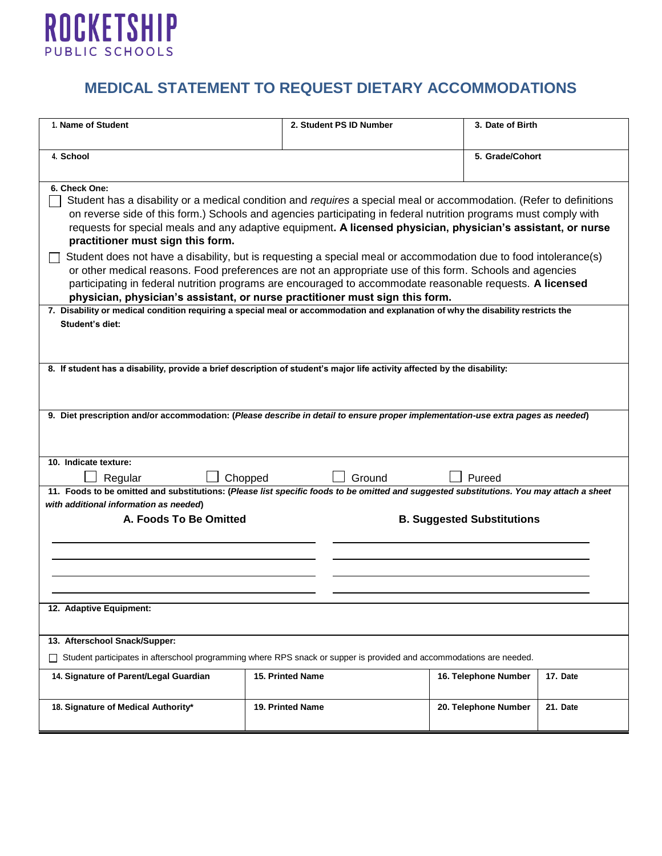

## **MEDICAL STATEMENT TO REQUEST DIETARY ACCOMMODATIONS**

| 1. Name of Student                                                                                                                                                                                                                                                                                                                                                                                                        | 2. Student PS ID Number | 3. Date of Birth                  |          |
|---------------------------------------------------------------------------------------------------------------------------------------------------------------------------------------------------------------------------------------------------------------------------------------------------------------------------------------------------------------------------------------------------------------------------|-------------------------|-----------------------------------|----------|
| 4. School                                                                                                                                                                                                                                                                                                                                                                                                                 |                         | 5. Grade/Cohort                   |          |
| 6. Check One:<br>Student has a disability or a medical condition and requires a special meal or accommodation. (Refer to definitions<br>on reverse side of this form.) Schools and agencies participating in federal nutrition programs must comply with<br>requests for special meals and any adaptive equipment. A licensed physician, physician's assistant, or nurse<br>practitioner must sign this form.             |                         |                                   |          |
| Student does not have a disability, but is requesting a special meal or accommodation due to food intolerance(s)<br>or other medical reasons. Food preferences are not an appropriate use of this form. Schools and agencies<br>participating in federal nutrition programs are encouraged to accommodate reasonable requests. A licensed<br>physician, physician's assistant, or nurse practitioner must sign this form. |                         |                                   |          |
| 7. Disability or medical condition requiring a special meal or accommodation and explanation of why the disability restricts the<br>Student's diet:                                                                                                                                                                                                                                                                       |                         |                                   |          |
| 8. If student has a disability, provide a brief description of student's major life activity affected by the disability:                                                                                                                                                                                                                                                                                                  |                         |                                   |          |
| 9. Diet prescription and/or accommodation: (Please describe in detail to ensure proper implementation-use extra pages as needed)                                                                                                                                                                                                                                                                                          |                         |                                   |          |
| 10. Indicate texture:<br>Chopped<br>Regular                                                                                                                                                                                                                                                                                                                                                                               | Pureed                  |                                   |          |
| 11. Foods to be omitted and substitutions: (Please list specific foods to be omitted and suggested substitutions. You may attach a sheet<br>with additional information as needed)                                                                                                                                                                                                                                        |                         |                                   |          |
| A. Foods To Be Omitted                                                                                                                                                                                                                                                                                                                                                                                                    |                         | <b>B. Suggested Substitutions</b> |          |
|                                                                                                                                                                                                                                                                                                                                                                                                                           |                         |                                   |          |
|                                                                                                                                                                                                                                                                                                                                                                                                                           |                         |                                   |          |
| 12. Adaptive Equipment:                                                                                                                                                                                                                                                                                                                                                                                                   |                         |                                   |          |
| 13. Afterschool Snack/Supper:                                                                                                                                                                                                                                                                                                                                                                                             |                         |                                   |          |
| Student participates in afterschool programming where RPS snack or supper is provided and accommodations are needed.                                                                                                                                                                                                                                                                                                      |                         |                                   |          |
| 14. Signature of Parent/Legal Guardian                                                                                                                                                                                                                                                                                                                                                                                    | 15. Printed Name        | 16. Telephone Number              | 17. Date |
| 18. Signature of Medical Authority*                                                                                                                                                                                                                                                                                                                                                                                       | 19. Printed Name        | 20. Telephone Number              | 21. Date |